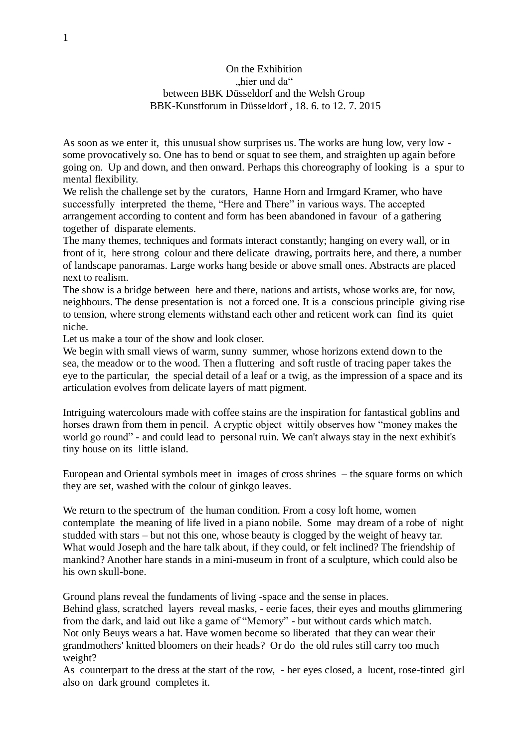## On the Exhibition .hier und da" between BBK Düsseldorf and the Welsh Group BBK-Kunstforum in Düsseldorf , 18. 6. to 12. 7. 2015

As soon as we enter it, this unusual show surprises us. The works are hung low, very low some provocatively so. One has to bend or squat to see them, and straighten up again before going on. Up and down, and then onward. Perhaps this choreography of looking is a spur to mental flexibility.

We relish the challenge set by the curators, Hanne Horn and Irmgard Kramer, who have successfully interpreted the theme, "Here and There" in various ways. The accepted arrangement according to content and form has been abandoned in favour of a gathering together of disparate elements.

The many themes, techniques and formats interact constantly; hanging on every wall, or in front of it, here strong colour and there delicate drawing, portraits here, and there, a number of landscape panoramas. Large works hang beside or above small ones. Abstracts are placed next to realism.

The show is a bridge between here and there, nations and artists, whose works are, for now, neighbours. The dense presentation is not a forced one. It is a conscious principle giving rise to tension, where strong elements withstand each other and reticent work can find its quiet niche.

Let us make a tour of the show and look closer.

We begin with small views of warm, sunny summer, whose horizons extend down to the sea, the meadow or to the wood. Then a fluttering and soft rustle of tracing paper takes the eye to the particular, the special detail of a leaf or a twig, as the impression of a space and its articulation evolves from delicate layers of matt pigment.

Intriguing watercolours made with coffee stains are the inspiration for fantastical goblins and horses drawn from them in pencil. A cryptic object wittily observes how "money makes the world go round" - and could lead to personal ruin. We can't always stay in the next exhibit's tiny house on its little island.

European and Oriental symbols meet in images of cross shrines – the square forms on which they are set, washed with the colour of ginkgo leaves.

We return to the spectrum of the human condition. From a cosy loft home, women contemplate the meaning of life lived in a piano nobile. Some may dream of a robe of night studded with stars – but not this one, whose beauty is clogged by the weight of heavy tar. What would Joseph and the hare talk about, if they could, or felt inclined? The friendship of mankind? Another hare stands in a mini-museum in front of a sculpture, which could also be his own skull-bone.

Ground plans reveal the fundaments of living -space and the sense in places.

Behind glass, scratched layers reveal masks, - eerie faces, their eyes and mouths glimmering from the dark, and laid out like a game of "Memory" - but without cards which match. Not only Beuys wears a hat. Have women become so liberated that they can wear their grandmothers' knitted bloomers on their heads? Or do the old rules still carry too much weight?

As counterpart to the dress at the start of the row, - her eyes closed, a lucent, rose-tinted girl also on dark ground completes it.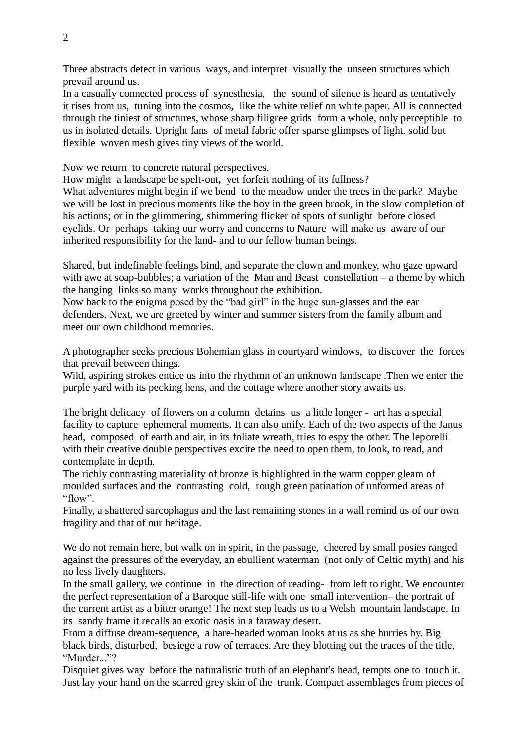Three abstracts detect in various ways, and interpret visually the unseen structures which prevail around us.

In a casually connected process of synesthesia, the sound of silence is heard as tentatively it rises from us,tuning into the cosmos**,** like the white relief on white paper. All is connected through the tiniest of structures, whose sharp filigree grids form a whole, only perceptible to us in isolated details. Upright fans of metal fabric offer sparse glimpses of light. solid but flexible woven mesh gives tiny views of the world.

Now we return to concrete natural perspectives.

How might a landscape be spelt-out**,** yet forfeit nothing of its fullness?

What adventures might begin if we bend to the meadow under the trees in the park? Maybe we will be lost in precious moments like the boy in the green brook, in the slow completion of his actions; or in the glimmering, shimmering flicker of spots of sunlight before closed eyelids. Or perhaps taking our worry and concerns to Nature will make us aware of our inherited responsibility for the land- and to our fellow human beings.

Shared, but indefinable feelings bind, and separate the clown and monkey, who gaze upward with awe at soap-bubbles; a variation of the Man and Beast constellation – a theme by which the hanging links so many works throughout the exhibition.

Now back to the enigma posed by the "bad girl" in the huge sun-glasses and the ear defenders. Next, we are greeted by winter and summer sisters from the family album and meet our own childhood memories.

A photographer seeks precious Bohemian glass in courtyard windows, to discover the forces that prevail between things.

Wild, aspiring strokes entice us into the rhythmn of an unknown landscape .Then we enter the purple yard with its pecking hens, and the cottage where another story awaits us.

The bright delicacy of flowers on a column detains us a little longer - art has a special facility to capture ephemeral moments. It can also unify. Each of the two aspects of the Janus head, composed of earth and air, in its foliate wreath, tries to espy the other. The leporelli with their creative double perspectives excite the need to open them, to look, to read, and contemplate in depth.

The richly contrasting materiality of bronze is highlighted in the warm copper gleam of moulded surfaces and the contrasting cold, rough green patination of unformed areas of "flow".

Finally, a shattered sarcophagus and the last remaining stones in a wall remind us of our own fragility and that of our heritage.

We do not remain here, but walk on in spirit, in the passage, cheered by small posies ranged against the pressures of the everyday, an ebullient waterman (not only of Celtic myth) and his no less lively daughters.

In the small gallery, we continue in the direction of reading- from left to right. We encounter the perfect representation of a Baroque still-life with one small intervention– the portrait of the current artist as a bitter orange! The next step leads us to a Welsh mountain landscape. In its sandy frame it recalls an exotic oasis in a faraway desert.

From a diffuse dream-sequence, a hare-headed woman looks at us as she hurries by. Big black birds, disturbed, besiege a row of terraces. Are they blotting out the traces of the title, "Murder<sup>"?</sup>

Disquiet gives way before the naturalistic truth of an elephant's head, tempts one to touch it. Just lay your hand on the scarred grey skin of the trunk. Compact assemblages from pieces of